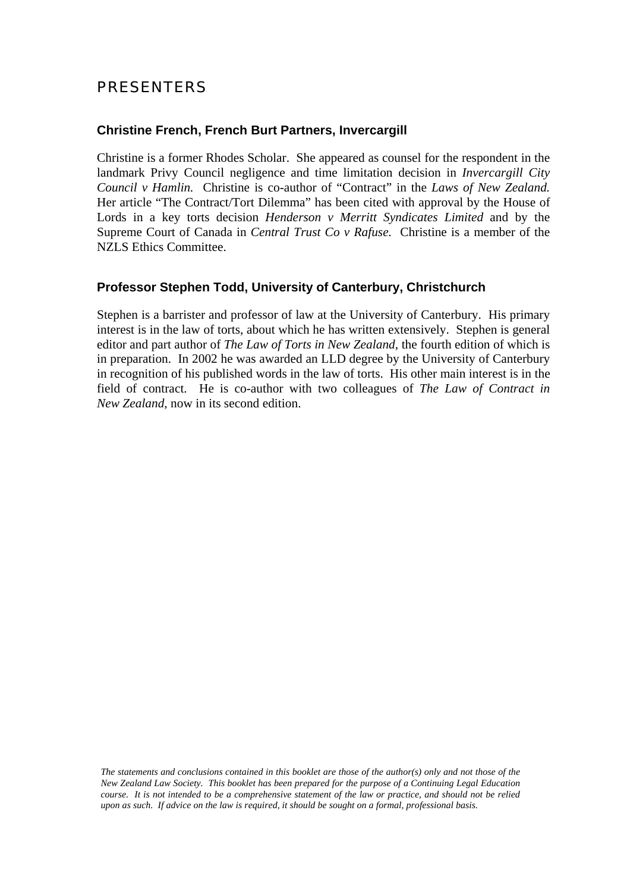## PRESENTERS

## **Christine French, French Burt Partners, Invercargill**

Christine is a former Rhodes Scholar. She appeared as counsel for the respondent in the landmark Privy Council negligence and time limitation decision in *Invercargill City Council v Hamlin.* Christine is co-author of "Contract" in the *Laws of New Zealand.* Her article "The Contract/Tort Dilemma" has been cited with approval by the House of Lords in a key torts decision *Henderson v Merritt Syndicates Limited* and by the Supreme Court of Canada in *Central Trust Co v Rafuse.* Christine is a member of the NZLS Ethics Committee.

## **Professor Stephen Todd, University of Canterbury, Christchurch**

Stephen is a barrister and professor of law at the University of Canterbury. His primary interest is in the law of torts, about which he has written extensively. Stephen is general editor and part author of *The Law of Torts in New Zealand*, the fourth edition of which is in preparation. In 2002 he was awarded an LLD degree by the University of Canterbury in recognition of his published words in the law of torts. His other main interest is in the field of contract. He is co-author with two colleagues of *The Law of Contract in New Zealand,* now in its second edition.

*The statements and conclusions contained in this booklet are those of the author(s) only and not those of the New Zealand Law Society. This booklet has been prepared for the purpose of a Continuing Legal Education course. It is not intended to be a comprehensive statement of the law or practice, and should not be relied upon as such. If advice on the law is required, it should be sought on a formal, professional basis.*